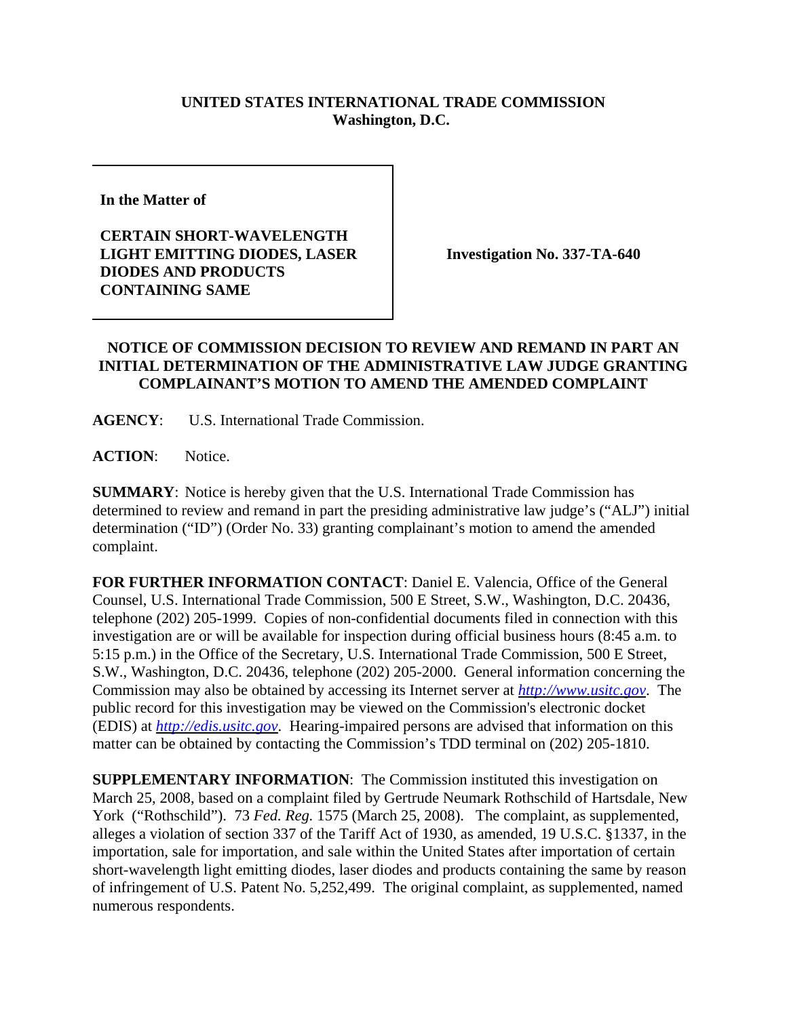## **UNITED STATES INTERNATIONAL TRADE COMMISSION Washington, D.C.**

**In the Matter of** 

**CERTAIN SHORT-WAVELENGTH LIGHT EMITTING DIODES, LASER DIODES AND PRODUCTS CONTAINING SAME**

**Investigation No. 337-TA-640**

## **NOTICE OF COMMISSION DECISION TO REVIEW AND REMAND IN PART AN INITIAL DETERMINATION OF THE ADMINISTRATIVE LAW JUDGE GRANTING COMPLAINANT'S MOTION TO AMEND THE AMENDED COMPLAINT**

**AGENCY**: U.S. International Trade Commission.

**ACTION**: Notice.

**SUMMARY**: Notice is hereby given that the U.S. International Trade Commission has determined to review and remand in part the presiding administrative law judge's ("ALJ") initial determination ("ID") (Order No. 33) granting complainant's motion to amend the amended complaint.

**FOR FURTHER INFORMATION CONTACT**: Daniel E. Valencia, Office of the General Counsel, U.S. International Trade Commission, 500 E Street, S.W., Washington, D.C. 20436, telephone (202) 205-1999. Copies of non-confidential documents filed in connection with this investigation are or will be available for inspection during official business hours (8:45 a.m. to 5:15 p.m.) in the Office of the Secretary, U.S. International Trade Commission, 500 E Street, S.W., Washington, D.C. 20436, telephone (202) 205-2000. General information concerning the Commission may also be obtained by accessing its Internet server at *http://www.usitc.gov*. The public record for this investigation may be viewed on the Commission's electronic docket (EDIS) at *http://edis.usitc.gov*. Hearing-impaired persons are advised that information on this matter can be obtained by contacting the Commission's TDD terminal on (202) 205-1810.

**SUPPLEMENTARY INFORMATION**: The Commission instituted this investigation on March 25, 2008, based on a complaint filed by Gertrude Neumark Rothschild of Hartsdale, New York ("Rothschild"). 73 *Fed. Reg.* 1575 (March 25, 2008). The complaint, as supplemented, alleges a violation of section 337 of the Tariff Act of 1930, as amended, 19 U.S.C. §1337, in the importation, sale for importation, and sale within the United States after importation of certain short-wavelength light emitting diodes, laser diodes and products containing the same by reason of infringement of U.S. Patent No. 5,252,499. The original complaint, as supplemented, named numerous respondents.